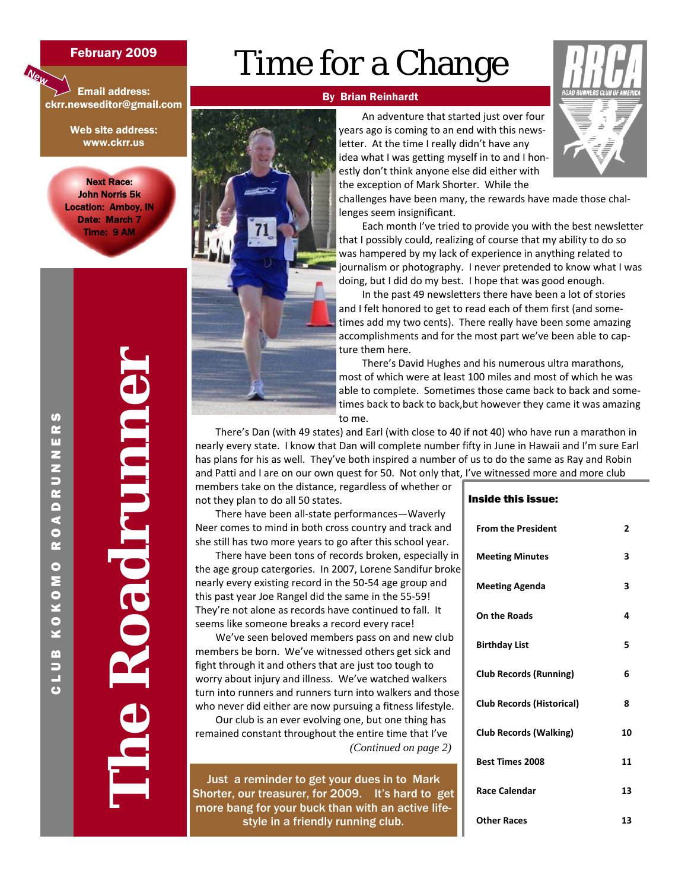#### February 2009

# Time for a Change

Email address: ckrr.newseditor@gmail.com

**New**

Web site address: www.ckrr.us

Next Race: John Norris 5k Location: Amboy, IN Date: March 7 Time: 9 AM

# **The Roadrunner**



#### By Brian Reinhardt

An adventure that started just over four years ago is coming to an end with this news‐ letter. At the time I really didn't have any idea what I was getting myself in to and I honestly don't think anyone else did either with the exception of Mark Shorter. While the



challenges have been many, the rewards have made those chal‐ lenges seem insignificant.

Each month I've tried to provide you with the best newsletter that I possibly could, realizing of course that my ability to do so was hampered by my lack of experience in anything related to journalism or photography. I never pretended to know what I was doing, but I did do my best. I hope that was good enough.

In the past 49 newsletters there have been a lot of stories and I felt honored to get to read each of them first (and some‐ times add my two cents). There really have been some amazing accomplishments and for the most part we've been able to cap‐ ture them here.

There's David Hughes and his numerous ultra marathons, most of which were at least 100 miles and most of which he was able to complete. Sometimes those came back to back and some‐ times back to back to back,but however they came it was amazing to me.

Inside this issue:

There's Dan (with 49 states) and Earl (with close to 40 if not 40) who have run a marathon in nearly every state. I know that Dan will complete number fifty in June in Hawaii and I'm sure Earl has plans for his as well. They've both inspired a number of us to do the same as Ray and Robin and Patti and I are on our own quest for 50. Not only that, I've witnessed more and more club

members take on the distance, regardless of whether or not they plan to do all 50 states.

There have been all‐state performances—Waverly Neer comes to mind in both cross country and track and she still has two more years to go after this school year.

There have been tons of records broken, especially in the age group catergories. In 2007, Lorene Sandifur broke nearly every existing record in the 50‐54 age group and this past year Joe Rangel did the same in the 55‐59! They're not alone as records have continued to fall. It seems like someone breaks a record every race!

We've seen beloved members pass on and new club members be born. We've witnessed others get sick and fight through it and others that are just too tough to worry about injury and illness. We've watched walkers turn into runners and runners turn into walkers and those who never did either are now pursuing a fitness lifestyle.

Our club is an ever evolving one, but one thing has remained constant throughout the entire time that I've  *(Continued on page 2)* 

Just a reminder to get your dues in to Mark Shorter, our treasurer, for 2009. It's hard to get more bang for your buck than with an active lifestyle in a friendly running club.

| IIƏIUU LIIIƏ IƏƏUU.              |    |
|----------------------------------|----|
| <b>From the President</b>        | 2  |
| <b>Meeting Minutes</b>           | 3  |
| <b>Meeting Agenda</b>            | 3  |
| <b>On the Roads</b>              | 4  |
| <b>Birthday List</b>             | 5  |
| <b>Club Records (Running)</b>    | 6  |
| <b>Club Records (Historical)</b> | 8  |
| <b>Club Records (Walking)</b>    | 10 |
| <b>Best Times 2008</b>           | 11 |
| <b>Race Calendar</b>             | 13 |
| <b>Other Races</b>               | 13 |

# CLUB KOKOMO ROADRUNNERS  $\boldsymbol{\varphi}$ œ m z N<br>U<br>K ROAD **KOKOMO** m U<br>L<br>O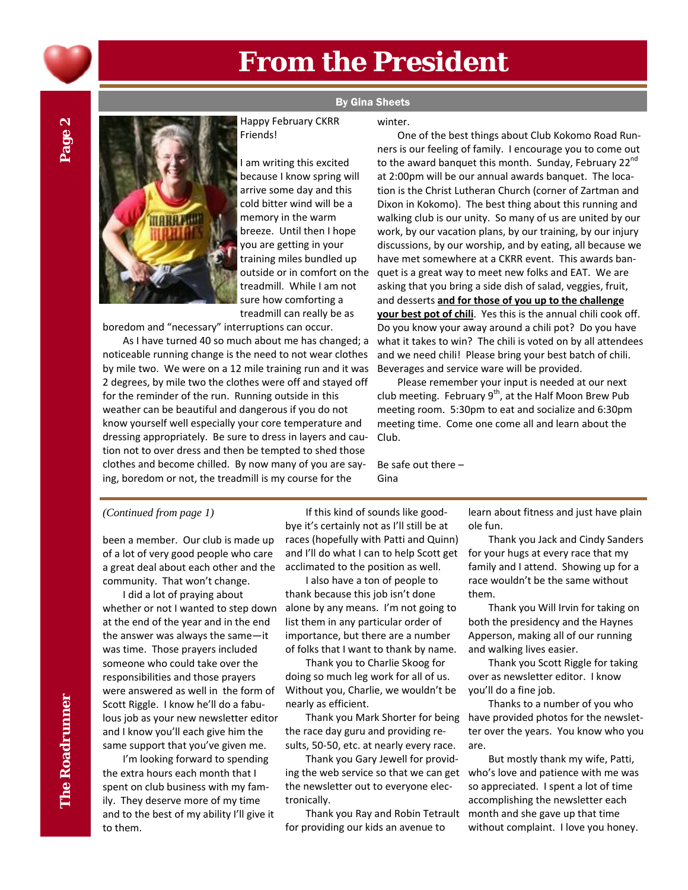

# **From the President**

# **ARRAIN**

#### Happy February CKRR Friends!

I am writing this excited because I know spring will arrive some day and this cold bitter wind will be a memory in the warm breeze. Until then I hope you are getting in your training miles bundled up outside or in comfort on the treadmill. While I am not sure how comforting a treadmill can really be as

boredom and "necessary" interruptions can occur.

As I have turned 40 so much about me has changed; a noticeable running change is the need to not wear clothes by mile two. We were on a 12 mile training run and it was 2 degrees, by mile two the clothes were off and stayed off for the reminder of the run. Running outside in this weather can be beautiful and dangerous if you do not know yourself well especially your core temperature and dressing appropriately. Be sure to dress in layers and cau‐ tion not to over dress and then be tempted to shed those clothes and become chilled. By now many of you are say‐ ing, boredom or not, the treadmill is my course for the

#### By Gina Sheets

#### winter.

One of the best things about Club Kokomo Road Run‐ ners is our feeling of family. I encourage you to come out to the award banquet this month. Sunday, February 22<sup>nd</sup> at 2:00pm will be our annual awards banquet. The loca‐ tion is the Christ Lutheran Church (corner of Zartman and Dixon in Kokomo). The best thing about this running and walking club is our unity. So many of us are united by our work, by our vacation plans, by our training, by our injury discussions, by our worship, and by eating, all because we have met somewhere at a CKRR event. This awards ban‐ quet is a great way to meet new folks and EAT. We are asking that you bring a side dish of salad, veggies, fruit, and desserts **and for those of you up to the challenge your best pot of chili**. Yes this is the annual chili cook off. Do you know your away around a chili pot? Do you have what it takes to win? The chili is voted on by all attendees and we need chili! Please bring your best batch of chili. Beverages and service ware will be provided.

Please remember your input is needed at our next club meeting. February  $9<sup>th</sup>$ , at the Half Moon Brew Pub meeting room. 5:30pm to eat and socialize and 6:30pm meeting time. Come one come all and learn about the Club.

Be safe out there – Gina

been a member. Our club is made up of a lot of very good people who care a great deal about each other and the community. That won't change.

I did a lot of praying about whether or not I wanted to step down at the end of the year and in the end the answer was always the same—it was time. Those prayers included someone who could take over the responsibilities and those prayers were answered as well in the form of Scott Riggle. I know he'll do a fabu‐ lous job as your new newsletter editor and I know you'll each give him the same support that you've given me.

I'm looking forward to spending the extra hours each month that I spent on club business with my fam‐ ily. They deserve more of my time and to the best of my ability I'll give it to them.

*(Continued from page 1)* If this kind of sounds like good‐ bye it's certainly not as I'll still be at races (hopefully with Patti and Quinn) and I'll do what I can to help Scott get acclimated to the position as well.

> I also have a ton of people to thank because this job isn't done alone by any means. I'm not going to list them in any particular order of importance, but there are a number of folks that I want to thank by name.

> Thank you to Charlie Skoog for doing so much leg work for all of us. Without you, Charlie, we wouldn't be nearly as efficient.

Thank you Mark Shorter for being the race day guru and providing re‐ sults, 50‐50, etc. at nearly every race.

Thank you Gary Jewell for provid‐ ing the web service so that we can get the newsletter out to everyone elec‐ tronically.

Thank you Ray and Robin Tetrault for providing our kids an avenue to

learn about fitness and just have plain ole fun.

Thank you Jack and Cindy Sanders for your hugs at every race that my family and I attend. Showing up for a race wouldn't be the same without them.

Thank you Will Irvin for taking on both the presidency and the Haynes Apperson, making all of our running and walking lives easier.

Thank you Scott Riggle for taking over as newsletter editor. I know you'll do a fine job.

Thanks to a number of you who have provided photos for the newslet‐ ter over the years. You know who you are.

But mostly thank my wife, Patti, who's love and patience with me was so appreciated. I spent a lot of time accomplishing the newsletter each month and she gave up that time without complaint. I love you honey.

 $\boldsymbol{\alpha}$ Page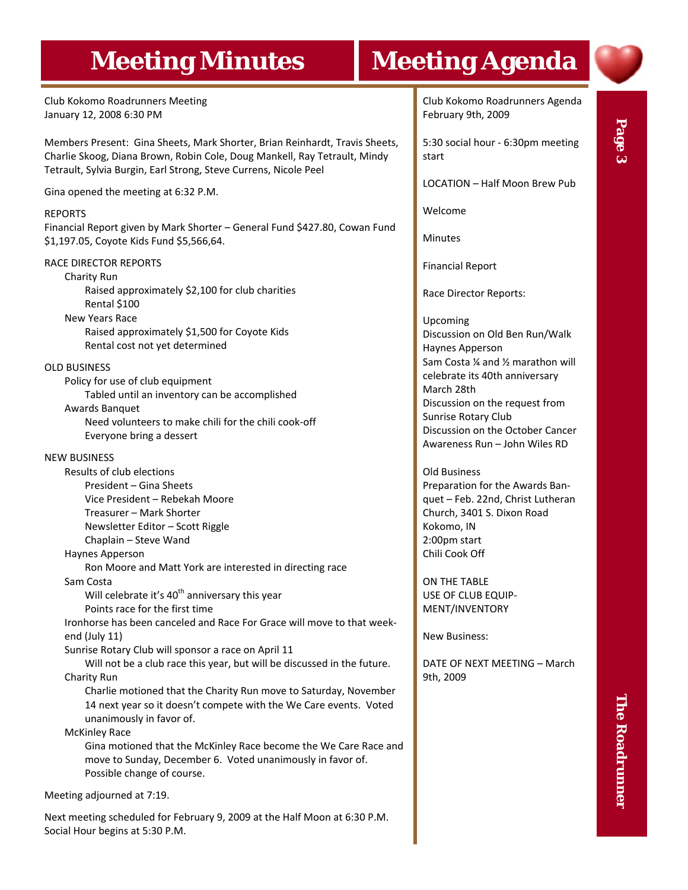# **Meeting Minutes | Meeting Agenda**

Club Kokomo Roadrunners Meeting January 12, 2008 6:30 PM

Members Present: Gina Sheets, Mark Shorter, Brian Reinhardt, Travis Sheets, Charlie Skoog, Diana Brown, Robin Cole, Doug Mankell, Ray Tetrault, Mindy Tetrault, Sylvia Burgin, Earl Strong, Steve Currens, Nicole Peel

Gina opened the meeting at 6:32 P.M.

#### REPORTS

Financial Report given by Mark Shorter – General Fund \$427.80, Cowan Fund \$1,197.05, Coyote Kids Fund \$5,566,64.

#### RACE DIRECTOR REPORTS

Charity Run Raised approximately \$2,100 for club charities Rental \$100 New Years Race

Raised approximately \$1,500 for Coyote Kids Rental cost not yet determined

#### OLD BUSINESS

Policy for use of club equipment Tabled until an inventory can be accomplished Awards Banquet Need volunteers to make chili for the chili cook‐off Everyone bring a dessert

#### NEW BUSINESS

Results of club elections President – Gina Sheets Vice President – Rebekah Moore Treasurer – Mark Shorter Newsletter Editor – Scott Riggle Chaplain – Steve Wand

#### Haynes Apperson

Ron Moore and Matt York are interested in directing race

Sam Costa

Will celebrate it's  $40<sup>th</sup>$  anniversary this year

#### Points race for the first time

Ironhorse has been canceled and Race For Grace will move to that week‐ end (July 11)

Sunrise Rotary Club will sponsor a race on April 11

Will not be a club race this year, but will be discussed in the future. Charity Run

Charlie motioned that the Charity Run move to Saturday, November 14 next year so it doesn't compete with the We Care events. Voted unanimously in favor of.

McKinley Race

Gina motioned that the McKinley Race become the We Care Race and move to Sunday, December 6. Voted unanimously in favor of. Possible change of course.

Meeting adjourned at 7:19.

Next meeting scheduled for February 9, 2009 at the Half Moon at 6:30 P.M. Social Hour begins at 5:30 P.M.

Club Kokomo Roadrunners Agenda February 9th, 2009

5:30 social hour ‐ 6:30pm meeting start

LOCATION – Half Moon Brew Pub

Welcome

**Minutes** 

Financial Report

Race Director Reports:

Upcoming Discussion on Old Ben Run/Walk Haynes Apperson Sam Costa ¼ and ½ marathon will celebrate its 40th anniversary March 28th Discussion on the request from Sunrise Rotary Club Discussion on the October Cancer Awareness Run – John Wiles RD

Old Business Preparation for the Awards Ban‐ quet – Feb. 22nd, Christ Lutheran Church, 3401 S. Dixon Road Kokomo, IN 2:00pm start Chili Cook Off

ON THE TABLE USE OF CLUB EQUIP‐ MENT/INVENTORY

New Business:

DATE OF NEXT MEETING – March 9th, 2009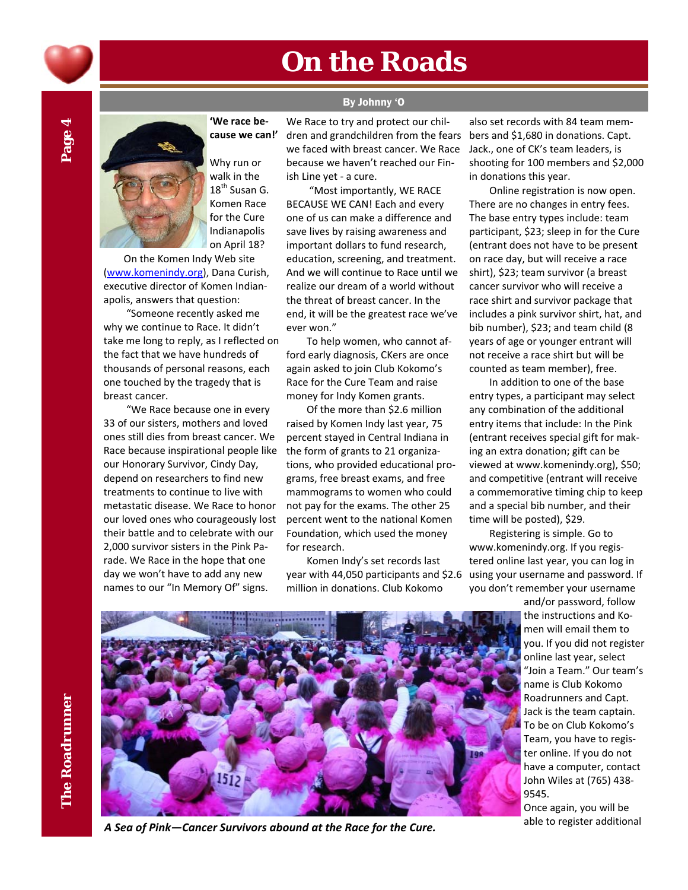

# **On the Roads**

By Johnny 'O

Page 4



**'We race be‐ cause we can!'**

> Why run or walk in the  $18^{th}$  Susan G. Komen Race for the Cure Indianapolis on April 18?

On the Komen Indy Web site (www.komenindy.org), Dana Curish, executive director of Komen Indian‐ apolis, answers that question:

"Someone recently asked me why we continue to Race. It didn't take me long to reply, as I reflected on the fact that we have hundreds of thousands of personal reasons, each one touched by the tragedy that is breast cancer.

"We Race because one in every 33 of our sisters, mothers and loved ones still dies from breast cancer. We Race because inspirational people like our Honorary Survivor, Cindy Day, depend on researchers to find new treatments to continue to live with metastatic disease. We Race to honor our loved ones who courageously lost their battle and to celebrate with our 2,000 survivor sisters in the Pink Pa‐ rade. We Race in the hope that one day we won't have to add any new names to our "In Memory Of" signs.

We Race to try and protect our chil‐ dren and grandchildren from the fears we faced with breast cancer. We Race because we haven't reached our Fin‐ ish Line yet ‐ a cure.

"Most importantly, WE RACE BECAUSE WE CAN! Each and every one of us can make a difference and save lives by raising awareness and important dollars to fund research, education, screening, and treatment. And we will continue to Race until we realize our dream of a world without the threat of breast cancer. In the end, it will be the greatest race we've ever won."

To help women, who cannot af‐ ford early diagnosis, CKers are once again asked to join Club Kokomo's Race for the Cure Team and raise money for Indy Komen grants.

Of the more than \$2.6 million raised by Komen Indy last year, 75 percent stayed in Central Indiana in the form of grants to 21 organiza‐ tions, who provided educational pro‐ grams, free breast exams, and free mammograms to women who could not pay for the exams. The other 25 percent went to the national Komen Foundation, which used the money for research.

Komen Indy's set records last year with 44,050 participants and \$2.6 million in donations. Club Kokomo

also set records with 84 team mem‐ bers and \$1,680 in donations. Capt. Jack., one of CK's team leaders, is shooting for 100 members and \$2,000 in donations this year.

Online registration is now open. There are no changes in entry fees. The base entry types include: team participant, \$23; sleep in for the Cure (entrant does not have to be present on race day, but will receive a race shirt), \$23; team survivor (a breast cancer survivor who will receive a race shirt and survivor package that includes a pink survivor shirt, hat, and bib number), \$23; and team child (8 years of age or younger entrant will not receive a race shirt but will be counted as team member), free.

In addition to one of the base entry types, a participant may select any combination of the additional entry items that include: In the Pink (entrant receives special gift for mak‐ ing an extra donation; gift can be viewed at www.komenindy.org), \$50; and competitive (entrant will receive a commemorative timing chip to keep and a special bib number, and their time will be posted), \$29.

Registering is simple. Go to www.komenindy.org. If you regis‐ tered online last year, you can log in using your username and password. If you don't remember your username

> and/or password, follow the instructions and Ko‐ men will email them to you. If you did not register online last year, select "Join a Team." Our team's name is Club Kokomo Roadrunners and Capt. Jack is the team captain. To be on Club Kokomo's Team, you have to regis‐ ter online. If you do not have a computer, contact John Wiles at (765) 438‐ 9545.

Once again, you will be



able to register additional *<sup>A</sup> Sea of Pink—Cancer Survivors abound at the Race for the Cure.*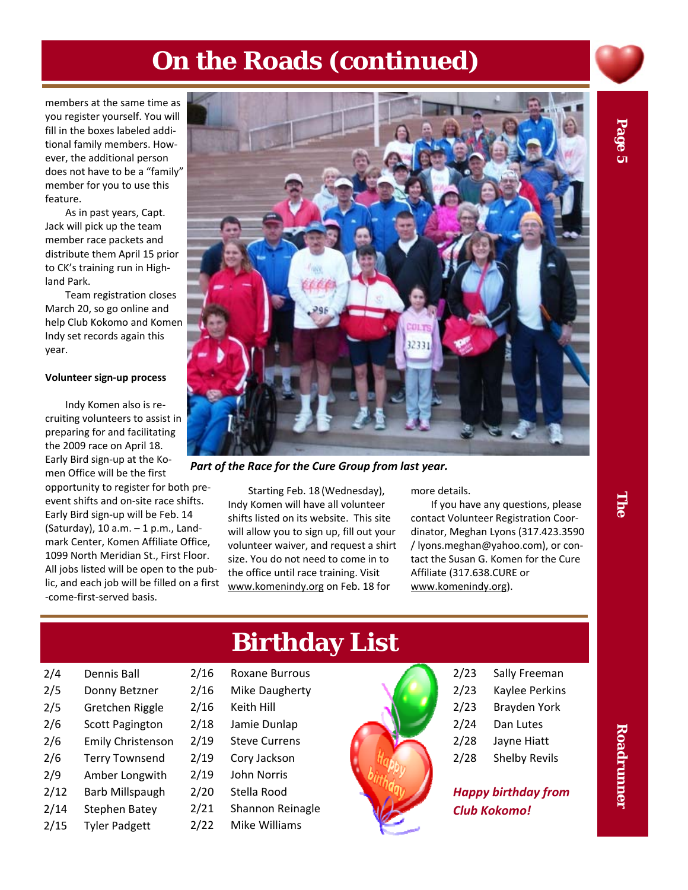## **On the Roads (continued)**

members at the same time as you register yourself. You will fill in the boxes labeled addi‐ tional family members. How‐ ever, the additional person does not have to be a "family" member for you to use this feature.

As in past years, Capt. Jack will pick up the team member race packets and distribute them April 15 prior to CK's training run in High‐ land Park.

Team registration closes March 20, so go online and help Club Kokomo and Komen Indy set records again this year.

#### **Volunteer sign‐up process**

Indy Komen also is re‐ cruiting volunteers to assist in preparing for and facilitating the 2009 race on April 18. Early Bird sign‐up at the Ko‐ men Office will be the first

opportunity to register for both pre‐ event shifts and on‐site race shifts. Early Bird sign‐up will be Feb. 14 (Saturday), 10 a.m. – 1 p.m., Land‐ mark Center, Komen Affiliate Office, 1099 North Meridian St., First Floor. All jobs listed will be open to the pub‐ lic, and each job will be filled on a first ‐come‐first‐served basis.



*Part of the Race for the Cure Group from last year.*

Starting Feb. 18 (Wednesday), Indy Komen will have all volunteer shifts listed on its website. This site will allow you to sign up, fill out your volunteer waiver, and request a shirt size. You do not need to come in to the office until race training. Visit www.komenindy.org on Feb. 18 for

more details.

If you have any questions, please contact Volunteer Registration Coor‐ dinator, Meghan Lyons (317.423.3590 / lyons.meghan@yahoo.com), or con‐ tact the Susan G. Komen for the Cure Affiliate (317.638.CURE or www.komenindy.org).

| 2/4 | <b>Dennis Ball</b> |
|-----|--------------------|
|     |                    |

- 2/5 Donny Betzner
- 2/5 Gretchen Riggle
- 2/6 Scott Pagington
- 2/6 Emily Christenson
- 2/6 Terry Townsend
- 2/9 Amber Longwith
- 2/12 Barb Millspaugh
- 2/14 Stephen Batey
- 2/15 Tyler Padgett

# **Birthday List**

- 2/16 Roxane Burrous
- 2/16 Mike Daugherty
- 2/16 Keith Hill
- 2/18 Jamie Dunlap
- 2/19 Steve Currens
- 2/19 Cory Jackson
- 2/19 John Norris
- 2/20 Stella Rood
- 2/21 Shannon Reinagle
- 2/22 Mike Williams



- 2/23 Sally Freeman
- 2/23 Kaylee Perkins
- 2/23 Brayden York
- 2/24 Dan Lutes
- 2/28 Jayne Hiatt
- 2/28 Shelby Revils

*Happy birthday from Club Kokomo!*

<u>Fine</u>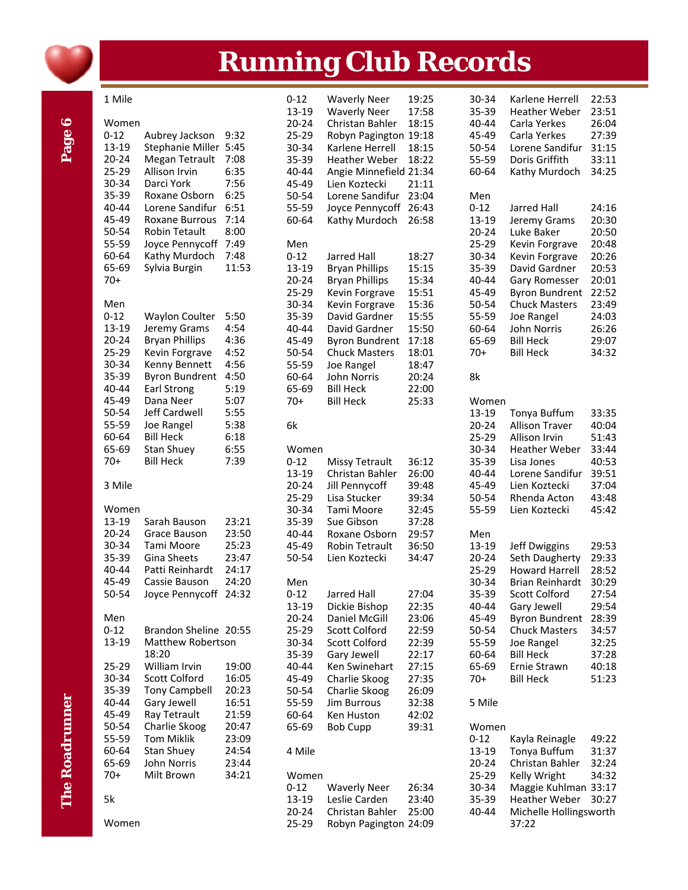

# **Running Club Records**

|                       | 1 Mile    |                       |       | $0 - 12$  | <b>Waverly Neer</b>    | 19:25 | 30-34     | Karlene Herrell        | 22:53 |
|-----------------------|-----------|-----------------------|-------|-----------|------------------------|-------|-----------|------------------------|-------|
|                       |           |                       |       | 13-19     |                        |       |           |                        | 23:51 |
|                       |           |                       |       |           | <b>Waverly Neer</b>    | 17:58 | 35-39     | <b>Heather Weber</b>   |       |
| $\bullet$             | Women     |                       |       | $20 - 24$ | Christan Bahler        | 18:15 | 40-44     | Carla Yerkes           | 26:04 |
|                       | $0 - 12$  | Aubrey Jackson        | 9:32  | 25-29     | Robyn Pagington 19:18  |       | 45-49     | Carla Yerkes           | 27:39 |
|                       | 13-19     | Stephanie Miller 5:45 |       | 30-34     | Karlene Herrell        | 18:15 | 50-54     | Lorene Sandifur        | 31:15 |
| Page                  | $20 - 24$ | Megan Tetrault        | 7:08  | 35-39     | <b>Heather Weber</b>   | 18:22 | 55-59     | Doris Griffith         | 33:11 |
|                       | 25-29     | Allison Irvin         | 6:35  | 40-44     | Angie Minnefield 21:34 |       | 60-64     | Kathy Murdoch          | 34:25 |
|                       | 30-34     | Darci York            | 7:56  | 45-49     | Lien Koztecki          | 21:11 |           |                        |       |
|                       | 35-39     | Roxane Osborn         | 6:25  | 50-54     | Lorene Sandifur 23:04  |       | Men       |                        |       |
|                       | 40-44     | Lorene Sandifur       | 6:51  | 55-59     | Joyce Pennycoff 26:43  |       | $0 - 12$  | Jarred Hall            | 24:16 |
|                       |           |                       |       |           |                        |       |           |                        |       |
|                       | 45-49     | Roxane Burrous        | 7:14  | 60-64     | Kathy Murdoch          | 26:58 | 13-19     | Jeremy Grams           | 20:30 |
|                       | 50-54     | <b>Robin Tetault</b>  | 8:00  |           |                        |       | $20 - 24$ | Luke Baker             | 20:50 |
|                       | 55-59     | Joyce Pennycoff 7:49  |       | Men       |                        |       | 25-29     | Kevin Forgrave         | 20:48 |
|                       | 60-64     | Kathy Murdoch         | 7:48  | $0 - 12$  | <b>Jarred Hall</b>     | 18:27 | 30-34     | Kevin Forgrave         | 20:26 |
|                       | 65-69     | Sylvia Burgin         | 11:53 | 13-19     | <b>Bryan Phillips</b>  | 15:15 | 35-39     | David Gardner          | 20:53 |
|                       | $70+$     |                       |       | $20 - 24$ | <b>Bryan Phillips</b>  | 15:34 | 40-44     | Gary Romesser          | 20:01 |
|                       |           |                       |       | 25-29     | Kevin Forgrave         | 15:51 | 45-49     | <b>Byron Bundrent</b>  | 22:52 |
|                       | Men       |                       |       | 30-34     | Kevin Forgrave         | 15:36 | 50-54     | <b>Chuck Masters</b>   | 23:49 |
|                       | $0 - 12$  | <b>Waylon Coulter</b> | 5:50  | 35-39     | David Gardner          | 15:55 | 55-59     | Joe Rangel             | 24:03 |
|                       | 13-19     | Jeremy Grams          | 4:54  | 40-44     | David Gardner          | 15:50 | 60-64     | John Norris            | 26:26 |
|                       | $20 - 24$ | <b>Bryan Phillips</b> | 4:36  | 45-49     |                        | 17:18 | 65-69     | <b>Bill Heck</b>       | 29:07 |
|                       |           |                       |       |           | <b>Byron Bundrent</b>  |       |           |                        |       |
|                       | 25-29     | Kevin Forgrave        | 4:52  | 50-54     | <b>Chuck Masters</b>   | 18:01 | $70+$     | <b>Bill Heck</b>       | 34:32 |
|                       | 30-34     | Kenny Bennett         | 4:56  | 55-59     | Joe Rangel             | 18:47 |           |                        |       |
|                       | 35-39     | <b>Byron Bundrent</b> | 4:50  | 60-64     | John Norris            | 20:24 | 8k        |                        |       |
|                       | 40-44     | Earl Strong           | 5:19  | 65-69     | <b>Bill Heck</b>       | 22:00 |           |                        |       |
|                       | 45-49     | Dana Neer             | 5:07  | $70+$     | <b>Bill Heck</b>       | 25:33 | Women     |                        |       |
|                       | 50-54     | Jeff Cardwell         | 5:55  |           |                        |       | 13-19     | Tonya Buffum           | 33:35 |
|                       | 55-59     | Joe Rangel            | 5:38  | 6k        |                        |       | $20 - 24$ | <b>Allison Traver</b>  | 40:04 |
|                       | 60-64     | <b>Bill Heck</b>      | 6:18  |           |                        |       | 25-29     | Allison Irvin          | 51:43 |
|                       | 65-69     | Stan Shuey            | 6:55  | Women     |                        |       | 30-34     | <b>Heather Weber</b>   | 33:44 |
|                       | $70+$     | <b>Bill Heck</b>      | 7:39  | $0 - 12$  | <b>Missy Tetrault</b>  | 36:12 | 35-39     | Lisa Jones             | 40:53 |
|                       |           |                       |       | 13-19     | Christan Bahler        | 26:00 | 40-44     | Lorene Sandifur        | 39:51 |
|                       | 3 Mile    |                       |       | $20 - 24$ | Jill Pennycoff         | 39:48 | 45-49     | Lien Koztecki          | 37:04 |
|                       |           |                       |       | 25-29     | Lisa Stucker           | 39:34 | 50-54     | Rhenda Acton           | 43:48 |
|                       | Women     |                       |       | 30-34     | Tami Moore             | 32:45 | 55-59     | Lien Koztecki          | 45:42 |
|                       | 13-19     | Sarah Bauson          | 23:21 |           |                        |       |           |                        |       |
|                       |           |                       |       | 35-39     | Sue Gibson             | 37:28 |           |                        |       |
|                       | $20 - 24$ | Grace Bauson          | 23:50 | 40-44     | Roxane Osborn          | 29:57 | Men       |                        |       |
|                       | 30-34     | Tami Moore            | 25:23 | 45-49     | Robin Tetrault         | 36:50 | 13-19     | Jeff Dwiggins          | 29:53 |
|                       | 35-39     | Gina Sheets           | 23:47 | 50-54     | Lien Koztecki          | 34:47 | $20 - 24$ | Seth Daugherty         | 29:33 |
|                       | 40-44     | Patti Reinhardt       | 24:17 |           |                        |       | 25-29     | <b>Howard Harrell</b>  | 28:52 |
|                       | 45-49     | Cassie Bauson         | 24:20 | Men       |                        |       | 30-34     | Brian Reinhardt        | 30:29 |
|                       | 50-54     | Joyce Pennycoff 24:32 |       | $0 - 12$  | <b>Jarred Hall</b>     | 27:04 | 35-39     | Scott Colford          | 27:54 |
|                       |           |                       |       | 13-19     | Dickie Bishop          | 22:35 | 40-44     | Gary Jewell            | 29:54 |
|                       | Men       |                       |       | $20 - 24$ | Daniel McGill          | 23:06 | 45-49     | <b>Byron Bundrent</b>  | 28:39 |
|                       | $0 - 12$  | Brandon Sheline 20:55 |       | 25-29     | Scott Colford          | 22:59 | 50-54     | <b>Chuck Masters</b>   | 34:57 |
|                       | 13-19     | Matthew Robertson     |       | 30-34     | Scott Colford          | 22:39 | 55-59     | Joe Rangel             | 32:25 |
|                       |           | 18:20                 |       | 35-39     | Gary Jewell            | 22:17 | 60-64     | <b>Bill Heck</b>       | 37:28 |
|                       | 25-29     | William Irvin         | 19:00 | 40-44     | Ken Swinehart          | 27:15 | 65-69     | Ernie Strawn           | 40:18 |
|                       | 30-34     | <b>Scott Colford</b>  | 16:05 | 45-49     | Charlie Skoog          | 27:35 | $70+$     | <b>Bill Heck</b>       | 51:23 |
|                       |           |                       |       |           |                        |       |           |                        |       |
|                       | 35-39     | <b>Tony Campbell</b>  | 20:23 | 50-54     | Charlie Skoog          | 26:09 |           |                        |       |
|                       | 40-44     | Gary Jewell           | 16:51 | 55-59     | Jim Burrous            | 32:38 | 5 Mile    |                        |       |
|                       | 45-49     | Ray Tetrault          | 21:59 | 60-64     | Ken Huston             | 42:02 |           |                        |       |
|                       | 50-54     | Charlie Skoog         | 20:47 | 65-69     | <b>Bob Cupp</b>        | 39:31 | Women     |                        |       |
| <b>The Roadrunner</b> | 55-59     | <b>Tom Miklik</b>     | 23:09 |           |                        |       | $0 - 12$  | Kayla Reinagle         | 49:22 |
|                       | 60-64     | Stan Shuey            | 24:54 | 4 Mile    |                        |       | 13-19     | Tonya Buffum           | 31:37 |
|                       | 65-69     | John Norris           | 23:44 |           |                        |       | $20 - 24$ | Christan Bahler        | 32:24 |
|                       | $70+$     | Milt Brown            | 34:21 | Women     |                        |       | 25-29     | Kelly Wright           | 34:32 |
|                       |           |                       |       | $0 - 12$  | <b>Waverly Neer</b>    | 26:34 | 30-34     | Maggie Kuhlman 33:17   |       |
|                       | 5k        |                       |       | 13-19     | Leslie Carden          | 23:40 | 35-39     | <b>Heather Weber</b>   | 30:27 |
|                       |           |                       |       | $20 - 24$ | Christan Bahler        | 25:00 | 40-44     | Michelle Hollingsworth |       |
|                       | Women     |                       |       | 25-29     | Robyn Pagington 24:09  |       |           | 37:22                  |       |
|                       |           |                       |       |           |                        |       |           |                        |       |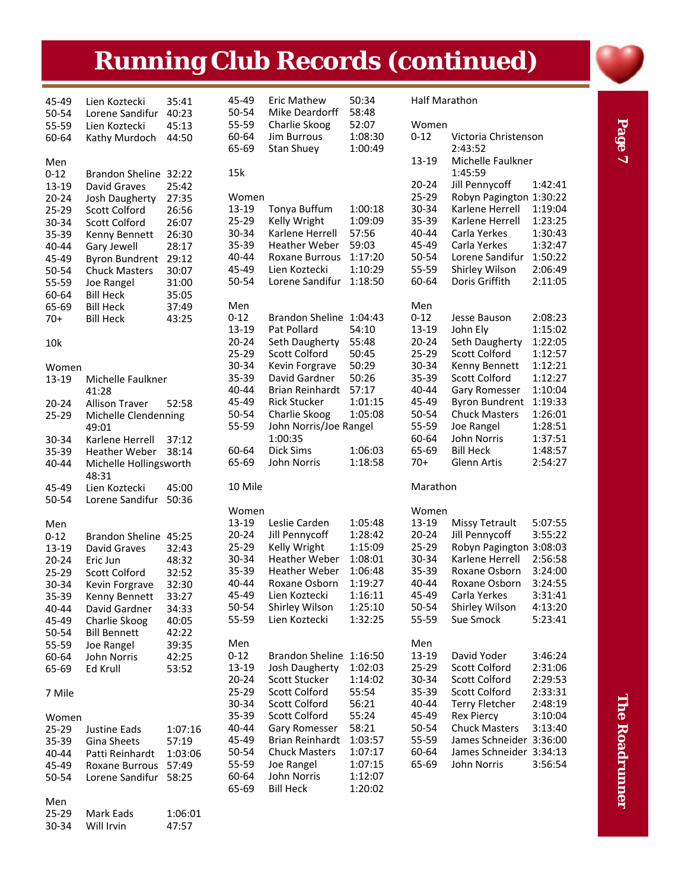# **Running Club Records (continued)**

| 45-49    | Lien Koztecki                   | 35:41   | 45-49     | <b>Eric Mathew</b>      | 50:34   | <b>Half Marathon</b> |                                 |         |
|----------|---------------------------------|---------|-----------|-------------------------|---------|----------------------|---------------------------------|---------|
| 50-54    | Lorene Sandifur                 | 40:23   | 50-54     | Mike Deardorff          | 58:48   |                      |                                 |         |
| 55-59    | Lien Koztecki                   | 45:13   | 55-59     | Charlie Skoog           | 52:07   | Women                |                                 |         |
| 60-64    | Kathy Murdoch                   | 44:50   | 60-64     | Jim Burrous             | 1:08:30 | $0 - 12$             | Victoria Christenson<br>2:43:52 |         |
|          |                                 |         | 65-69     | Stan Shuey              | 1:00:49 |                      |                                 |         |
| Men      |                                 |         |           |                         |         | 13-19                | Michelle Faulkner               |         |
| $0 - 12$ | Brandon Sheline 32:22           |         | 15k       |                         |         |                      | 1:45:59                         |         |
| 13-19    | David Graves                    | 25:42   |           |                         |         | $20 - 24$            | Jill Pennycoff                  | 1:42:41 |
| 20-24    | Josh Daugherty                  | 27:35   | Women     |                         |         | 25-29                | Robyn Pagington 1:30:22         |         |
| 25-29    | <b>Scott Colford</b>            | 26:56   | 13-19     | Tonya Buffum            | 1:00:18 | 30-34                | Karlene Herrell                 | 1:19:04 |
| 30-34    | <b>Scott Colford</b>            | 26:07   | 25-29     | Kelly Wright            | 1:09:09 | 35-39                | Karlene Herrell                 | 1:23:25 |
| 35-39    | Kenny Bennett                   | 26:30   | 30-34     | Karlene Herrell         | 57:56   | 40-44                | Carla Yerkes                    | 1:30:43 |
| 40-44    | Gary Jewell                     | 28:17   | 35-39     | <b>Heather Weber</b>    | 59:03   | 45-49                | Carla Yerkes                    | 1:32:47 |
| 45-49    | <b>Byron Bundrent</b>           | 29:12   | 40-44     | Roxane Burrous          | 1:17:20 | 50-54                | Lorene Sandifur                 | 1:50:22 |
| 50-54    | <b>Chuck Masters</b>            | 30:07   | 45-49     | Lien Koztecki           | 1:10:29 | 55-59                | Shirley Wilson                  | 2:06:49 |
| 55-59    | Joe Rangel                      | 31:00   | 50-54     | Lorene Sandifur         | 1:18:50 | 60-64                | Doris Griffith                  | 2:11:05 |
| 60-64    | <b>Bill Heck</b>                | 35:05   |           |                         |         |                      |                                 |         |
| 65-69    | <b>Bill Heck</b>                | 37:49   | Men       |                         |         | Men                  |                                 |         |
| 70+      | <b>Bill Heck</b>                | 43:25   | $0 - 12$  | Brandon Sheline 1:04:43 |         | $0 - 12$             | Jesse Bauson                    | 2:08:23 |
|          |                                 |         | 13-19     | Pat Pollard             | 54:10   | 13-19                | John Ely                        | 1:15:02 |
| 10k      |                                 |         | $20 - 24$ | Seth Daugherty          | 55:48   | $20 - 24$            | Seth Daugherty                  | 1:22:05 |
|          |                                 |         | 25-29     | <b>Scott Colford</b>    | 50:45   | 25-29                | Scott Colford                   | 1:12:57 |
| Women    |                                 |         | 30-34     | Kevin Forgrave          | 50:29   | 30-34                | Kenny Bennett                   | 1:12:21 |
| 13-19    | Michelle Faulkner               |         | 35-39     | David Gardner           | 50:26   | 35-39                | <b>Scott Colford</b>            | 1:12:27 |
|          | 41:28                           |         | 40-44     | Brian Reinhardt         | 57:17   | 40-44                | Gary Romesser                   | 1:10:04 |
| 20-24    | <b>Allison Traver</b>           | 52:58   | 45-49     | <b>Rick Stucker</b>     | 1:01:15 | 45-49                | <b>Byron Bundrent</b>           | 1:19:33 |
| 25-29    | Michelle Clendenning            |         | 50-54     | Charlie Skoog           | 1:05:08 | 50-54                | <b>Chuck Masters</b>            | 1:26:01 |
|          | 49:01                           |         | 55-59     | John Norris/Joe Rangel  |         | 55-59                | Joe Rangel                      | 1:28:51 |
| 30-34    | Karlene Herrell                 | 37:12   |           | 1:00:35                 |         | 60-64                | John Norris                     | 1:37:51 |
| 35-39    | <b>Heather Weber</b>            | 38:14   | 60-64     | Dick Sims               | 1:06:03 | 65-69                | <b>Bill Heck</b>                | 1:48:57 |
| 40-44    | Michelle Hollingsworth<br>48:31 |         | 65-69     | John Norris             | 1:18:58 | $70+$                | Glenn Artis                     | 2:54:27 |
| 45-49    | Lien Koztecki                   | 45:00   | 10 Mile   |                         |         | Marathon             |                                 |         |
| 50-54    | Lorene Sandifur 50:36           |         |           |                         |         |                      |                                 |         |
|          |                                 |         | Women     |                         |         | Women                |                                 |         |
| Men      |                                 |         | $13-19$   | Leslie Carden           | 1:05:48 | 13-19                | <b>Missy Tetrault</b>           | 5:07:55 |
| $0 - 12$ | Brandon Sheline 45:25           |         | $20 - 24$ | Jill Pennycoff          | 1:28:42 | $20 - 24$            | Jill Pennycoff                  | 3:55:22 |
| 13-19    | David Graves                    | 32:43   | 25-29     | Kelly Wright            | 1:15:09 | 25-29                | Robyn Pagington 3:08:03         |         |
| 20-24    | Eric Jun                        | 48:32   | 30-34     | <b>Heather Weber</b>    | 1:08:01 | 30-34                | Karlene Herrell                 | 2:56:58 |
| 25-29    | <b>Scott Colford</b>            | 32:52   | 35-39     | <b>Heather Weber</b>    | 1:06:48 | 35-39                | Roxane Osborn                   | 3:24:00 |
| 30-34    | Kevin Forgrave                  | 32:30   | 40-44     | Roxane Osborn           | 1:19:27 | 40-44                | Roxane Osborn                   | 3:24:55 |
| 35-39    | Kenny Bennett                   | 33:27   | 45-49     | Lien Koztecki           | 1:16:11 | 45-49                | Carla Yerkes                    | 3:31:41 |
| 40-44    | David Gardner                   | 34:33   | 50-54     | Shirley Wilson          | 1:25:10 | 50-54                | Shirley Wilson                  | 4:13:20 |
| 45-49    | Charlie Skoog                   | 40:05   | 55-59     | Lien Koztecki           | 1:32:25 | 55-59                | Sue Smock                       | 5:23:41 |
| 50-54    | <b>Bill Bennett</b>             | 42:22   |           |                         |         |                      |                                 |         |
| 55-59    | Joe Rangel                      | 39:35   | Men       |                         |         | Men                  |                                 |         |
| 60-64    | John Norris                     | 42:25   | $0 - 12$  | Brandon Sheline 1:16:50 |         | 13-19                | David Yoder                     | 3:46:24 |
| 65-69    | Ed Krull                        | 53:52   | 13-19     | Josh Daugherty          | 1:02:03 | 25-29                | Scott Colford                   | 2:31:06 |
|          |                                 |         | $20 - 24$ | Scott Stucker           | 1:14:02 | 30-34                | <b>Scott Colford</b>            | 2:29:53 |
| 7 Mile   |                                 |         | 25-29     | Scott Colford           | 55:54   | 35-39                | Scott Colford                   | 2:33:31 |
|          |                                 |         | 30-34     | Scott Colford           | 56:21   | 40-44                | <b>Terry Fletcher</b>           | 2:48:19 |
|          |                                 |         | 35-39     | <b>Scott Colford</b>    | 55:24   | 45-49                | <b>Rex Piercy</b>               | 3:10:04 |
| Women    | Justine Eads                    |         | 40-44     | Gary Romesser           | 58:21   | 50-54                | <b>Chuck Masters</b>            | 3:13:40 |
| 25-29    |                                 | 1:07:16 | 45-49     | <b>Brian Reinhardt</b>  | 1:03:57 | 55-59                | James Schneider 3:36:00         |         |
| 35-39    | Gina Sheets                     | 57:19   | 50-54     | <b>Chuck Masters</b>    | 1:07:17 | 60-64                | James Schneider 3:34:13         |         |
| 40-44    | Patti Reinhardt                 | 1:03:06 | 55-59     | Joe Rangel              | 1:07:15 | 65-69                | John Norris                     | 3:56:54 |
| 45-49    | Roxane Burrous                  | 57:49   |           |                         |         |                      |                                 |         |
| 50-54    | Lorene Sandifur 58:25           |         | 60-64     | John Norris             | 1:12:07 |                      |                                 |         |
|          |                                 |         | 65-69     | <b>Bill Heck</b>        | 1:20:02 |                      |                                 |         |
| Men      |                                 |         |           |                         |         |                      |                                 |         |
| 25-29    | Mark Eads                       | 1:06:01 |           |                         |         |                      |                                 |         |

‐34 Will Irvin 47:57

Page 7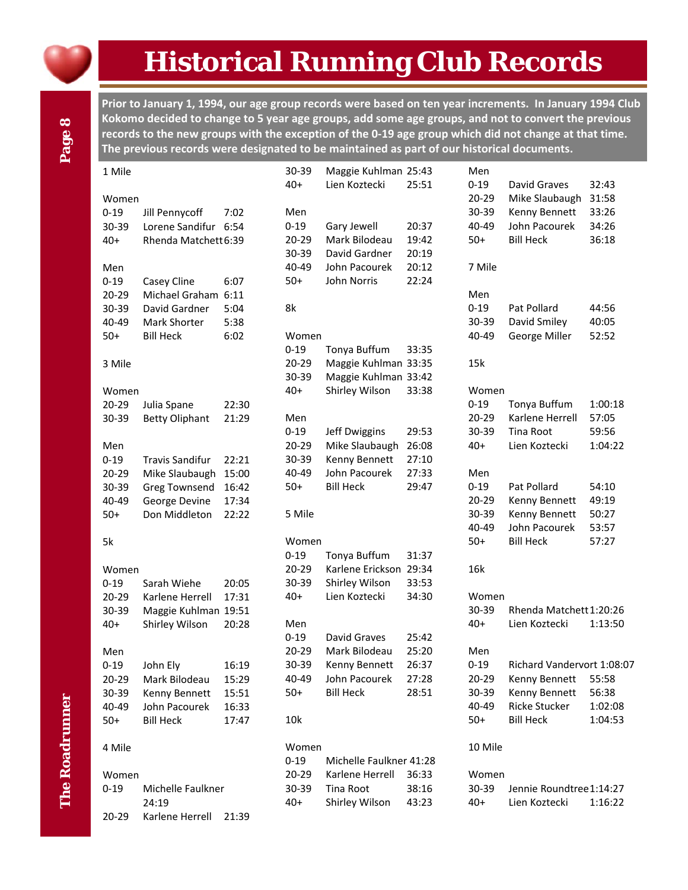

# **Historical Running Club Records**

Prior to January 1, 1994, our age group records were based on ten year increments. In January 1994 Club Kokomo decided to change to 5 year age groups, add some age groups, and not to convert the previous records to the new groups with the exception of the 0-19 age group which did not change at that time. **The previous records were designated to be maintained as part of our historical documents.**

| 1 Mile    |                           |                | 30-39             | Maggie Kuhlman 25:43    |       | Men       |                            |         |
|-----------|---------------------------|----------------|-------------------|-------------------------|-------|-----------|----------------------------|---------|
|           |                           |                | $40+$             | Lien Koztecki           | 25:51 | $0 - 19$  | David Graves               | 32:43   |
| Women     |                           |                |                   |                         |       | $20 - 29$ | Mike Slaubaugh             | 31:58   |
| $0 - 19$  | Jill Pennycoff            | 7:02           | Men               |                         |       | 30-39     | Kenny Bennett              | 33:26   |
| 30-39     | Lorene Sandifur 6:54      |                | $0 - 19$          | Gary Jewell             | 20:37 | 40-49     | John Pacourek              | 34:26   |
| $40+$     | Rhenda Matchett 6:39      |                | 20-29             | Mark Bilodeau           | 19:42 | $50+$     | <b>Bill Heck</b>           | 36:18   |
|           |                           |                | 30-39             | David Gardner           | 20:19 |           |                            |         |
| Men       |                           |                | 40-49             | John Pacourek           | 20:12 | 7 Mile    |                            |         |
| $0 - 19$  | Casey Cline               | 6:07           | $50+$             | John Norris             | 22:24 |           |                            |         |
| $20 - 29$ | Michael Graham 6:11       |                |                   |                         |       | Men       |                            |         |
| 30-39     | David Gardner             | 5:04           | 8k                |                         |       | $0 - 19$  | Pat Pollard                | 44:56   |
| 40-49     | Mark Shorter              | 5:38           |                   |                         |       | 30-39     | David Smiley               | 40:05   |
| $50+$     | <b>Bill Heck</b>          | 6:02           | Women             |                         |       | 40-49     | George Miller              | 52:52   |
|           |                           |                | $0 - 19$          | Tonya Buffum            | 33:35 |           |                            |         |
| 3 Mile    |                           |                | 20-29             | Maggie Kuhlman 33:35    |       | 15k       |                            |         |
|           |                           |                | 30-39             | Maggie Kuhlman 33:42    |       |           |                            |         |
| Women     |                           |                | $40+$             | Shirley Wilson          | 33:38 | Women     |                            |         |
| $20 - 29$ | Julia Spane               | 22:30          |                   |                         |       | $0 - 19$  | Tonya Buffum               | 1:00:18 |
| 30-39     | <b>Betty Oliphant</b>     | 21:29          | Men               |                         |       | 20-29     | Karlene Herrell            | 57:05   |
|           |                           |                | $0 - 19$          | Jeff Dwiggins           | 29:53 | 30-39     | Tina Root                  | 59:56   |
| Men       |                           |                | 20-29             | Mike Slaubaugh          | 26:08 | $40+$     | Lien Koztecki              | 1:04:22 |
| $0 - 19$  | <b>Travis Sandifur</b>    | 22:21          | 30-39             | Kenny Bennett           | 27:10 |           |                            |         |
| 20-29     | Mike Slaubaugh            | 15:00          | 40-49             | John Pacourek           | 27:33 | Men       |                            |         |
| 30-39     | <b>Greg Townsend</b>      | 16:42          | $50+$             | <b>Bill Heck</b>        | 29:47 | $0 - 19$  | Pat Pollard                | 54:10   |
| 40-49     | George Devine             | 17:34          |                   |                         |       | 20-29     | Kenny Bennett              | 49:19   |
| $50+$     | Don Middleton             | 22:22          | 5 Mile            |                         |       | 30-39     | Kenny Bennett              | 50:27   |
|           |                           |                |                   |                         |       | 40-49     | John Pacourek              | 53:57   |
| 5k        |                           |                | Women             |                         |       | $50+$     | <b>Bill Heck</b>           | 57:27   |
|           |                           |                | $0 - 19$          | Tonya Buffum            | 31:37 |           |                            |         |
| Women     |                           |                | 20-29             | Karlene Erickson 29:34  |       | 16k       |                            |         |
| $0 - 19$  | Sarah Wiehe               | 20:05          | 30-39             | Shirley Wilson          | 33:53 |           |                            |         |
| $20 - 29$ | Karlene Herrell           | 17:31          | $40+$             | Lien Koztecki           | 34:30 | Women     |                            |         |
| 30-39     | Maggie Kuhlman 19:51      |                |                   |                         |       | 30-39     | Rhenda Matchett 1:20:26    |         |
| $40+$     | Shirley Wilson            | 20:28          | Men               |                         |       | $40+$     | Lien Koztecki              | 1:13:50 |
|           |                           |                | $0 - 19$          | David Graves            | 25:42 |           |                            |         |
| Men       |                           |                | 20-29             | Mark Bilodeau           | 25:20 | Men       |                            |         |
| $0 - 19$  |                           | 16:19          | 30-39             | Kenny Bennett           | 26:37 | $0 - 19$  | Richard Vandervort 1:08:07 |         |
| $20 - 29$ | John Ely<br>Mark Bilodeau |                | 40-49             | John Pacourek           | 27:28 | $20 - 29$ | Kenny Bennett              | 55:58   |
| 30-39     | Kenny Bennett             | 15:29<br>15:51 | $50+$             | <b>Bill Heck</b>        | 28:51 | 30-39     | Kenny Bennett              | 56:38   |
| 40-49     | John Pacourek             | 16:33          |                   |                         |       | 40-49     | Ricke Stucker              | 1:02:08 |
| $50+$     | <b>Bill Heck</b>          | 17:47          | 10k               |                         |       | $50+$     | <b>Bill Heck</b>           | 1:04:53 |
|           |                           |                |                   |                         |       |           |                            |         |
|           |                           |                |                   |                         |       | 10 Mile   |                            |         |
| 4 Mile    |                           |                | Women<br>$0 - 19$ | Michelle Faulkner 41:28 |       |           |                            |         |
| Women     |                           |                | 20-29             | Karlene Herrell         | 36:33 | Women     |                            |         |
| $0 - 19$  | Michelle Faulkner         |                | 30-39             | Tina Root               | 38:16 | 30-39     | Jennie Roundtree1:14:27    |         |
|           | 24:19                     |                | $40+$             | Shirley Wilson          | 43:23 | $40+$     | Lien Koztecki              | 1:16:22 |
| 20-29     | Karlene Herrell           | 21:39          |                   |                         |       |           |                            |         |
|           |                           |                |                   |                         |       |           |                            |         |

Page 8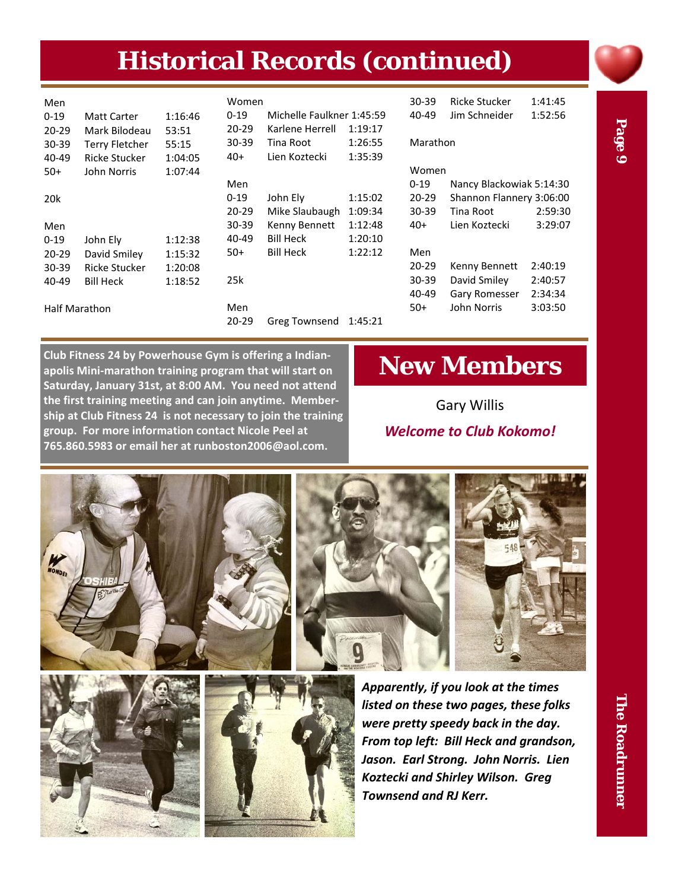# **Historical Records (continued)**

| Men<br>$0 - 19$<br>$20 - 29$ | Matt Carter<br>Mark Bilodeau | 1:16:46<br>53:51 | Women<br>$0 - 19$<br>$20 - 29$ | Michelle Faulkner 1:45:59<br>Karlene Herrell | 1:19:17 | $30 - 39$<br>40-49 | <b>Ricke Stucker</b><br>Jim Schneider | 1:41:45<br>1:52:56 |
|------------------------------|------------------------------|------------------|--------------------------------|----------------------------------------------|---------|--------------------|---------------------------------------|--------------------|
| $30 - 39$                    | <b>Terry Fletcher</b>        | 55:15            | $30 - 39$                      | Tina Root                                    | 1:26:55 | Marathon           |                                       |                    |
| 40-49                        | <b>Ricke Stucker</b>         | 1:04:05          | 40+                            | Lien Koztecki                                | 1:35:39 |                    |                                       |                    |
| $50+$                        | John Norris                  | 1:07:44          |                                |                                              |         | Women              |                                       |                    |
|                              |                              |                  | Men                            |                                              |         | $0 - 19$           | Nancy Blackowiak 5:14:30              |                    |
| 20 <sub>k</sub>              |                              |                  | $0 - 19$                       | John Elv                                     | 1:15:02 | $20 - 29$          | Shannon Flannery 3:06:00              |                    |
|                              |                              |                  | $20 - 29$                      | Mike Slaubaugh                               | 1:09:34 | $30 - 39$          | Tina Root                             | 2:59:30            |
| Men                          |                              |                  | $30 - 39$                      | Kenny Bennett                                | 1:12:48 | $40+$              | Lien Koztecki                         | 3:29:07            |
| $0 - 19$                     | John Ely                     | 1:12:38          | 40-49                          | <b>Bill Heck</b>                             | 1:20:10 |                    |                                       |                    |
| $20 - 29$                    | David Smiley                 | 1:15:32          | $50+$                          | <b>Bill Heck</b>                             | 1:22:12 | Men                |                                       |                    |
| $30 - 39$                    | <b>Ricke Stucker</b>         | 1:20:08          |                                |                                              |         | $20 - 29$          | Kenny Bennett                         | 2:40:19            |
| 40-49                        | <b>Bill Heck</b>             | 1:18:52          | 25k                            |                                              |         | $30 - 39$          | David Smiley                          | 2:40:57            |
|                              |                              |                  |                                |                                              |         | $40 - 49$          | Gary Romesser                         | 2:34:34            |
| <b>Half Marathon</b>         |                              |                  | Men                            |                                              |         | $50+$              | John Norris                           | 3:03:50            |
|                              |                              |                  | $20 - 29$                      | Greg Townsend                                | 1:45:21 |                    |                                       |                    |

Page 9

**Club Fitness 24 by Powerhouse Gym is offering a Indian‐ apolis Mini‐marathon training program that will start on Saturday, January 31st, at 8:00 AM. You need not attend the first training meeting and can join anytime. Member‐ ship at Club Fitness 24 is not necessary to join the training group. For more information contact Nicole Peel at 765.860.5983 or email her at runboston2006@aol.com.**

## **New Members**

Gary Willis *Welcome to Club Kokomo!*







*Apparently, if you look at the times listed on these two pages, these folks were pretty speedy back in the day. From top left: Bill Heck and grandson, Jason. Earl Strong. John Norris. Lien Koztecki and Shirley Wilson. Greg Townsend and RJ Kerr.*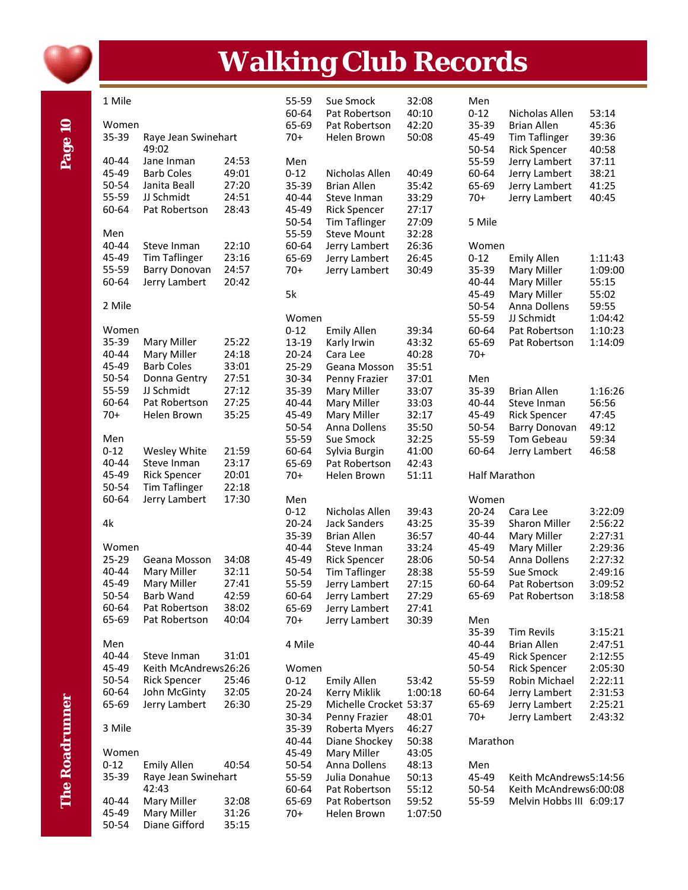

Page 10

# **Walking Club Records**

| 1 Mile         |                                |                | 55-59          | Sue Smock              | 32:08          |
|----------------|--------------------------------|----------------|----------------|------------------------|----------------|
|                |                                |                | 60-64          | Pat Robertson          | 40:10          |
| Women          |                                |                | 65-69          | Pat Robertson          | 42:20          |
| 35-39          | Raye Jean Swinehart            |                | $70+$          | Helen Brown            | 50:08          |
|                | 49:02                          |                |                |                        |                |
| 40-44          | Jane Inman                     | 24:53          | Men            |                        |                |
| 45-49          | <b>Barb Coles</b>              | 49:01          | $0 - 12$       | Nicholas Allen         | 40:49          |
| 50-54          | Janita Beall                   | 27:20          | 35-39          | <b>Brian Allen</b>     | 35:42          |
| 55-59          | JJ Schmidt                     | 24:51          | 40-44          | Steve Inman            | 33:29          |
| 60-64          | Pat Robertson                  | 28:43          | 45-49          | <b>Rick Spencer</b>    | 27:17          |
|                |                                |                | 50-54          | <b>Tim Taflinger</b>   | 27:09          |
| Men            |                                |                | 55-59          | <b>Steve Mount</b>     | 32:28          |
| 40-44          | Steve Inman                    | 22:10          | 60-64          | Jerry Lambert          | 26:36          |
| 45-49          | <b>Tim Taflinger</b>           | 23:16          | 65-69          | Jerry Lambert          | 26:45          |
| 55-59          | <b>Barry Donovan</b>           | 24:57          | 70+            | Jerry Lambert          | 30:49          |
| 60-64          | Jerry Lambert                  | 20:42          |                |                        |                |
|                |                                |                | 5k             |                        |                |
| 2 Mile         |                                |                |                |                        |                |
|                |                                |                | Women          |                        |                |
| Women          |                                |                | $0 - 12$       | <b>Emily Allen</b>     | 39:34          |
| 35-39          | Mary Miller                    | 25:22          | 13-19          | Karly Irwin            | 43:32          |
| 40-44          | Mary Miller                    | 24:18          | 20-24          | Cara Lee               | 40:28          |
| 45-49          | <b>Barb Coles</b>              | 33:01          | 25-29          | Geana Mosson           | 35:51          |
| 50-54          | Donna Gentry                   | 27:51          | 30-34          | Penny Frazier          | 37:01          |
| 55-59          | JJ Schmidt                     | 27:12          | 35-39          | Mary Miller            | 33:07          |
| 60-64          | Pat Robertson                  | 27:25          | 40-44          | Mary Miller            | 33:03          |
| $70+$          | Helen Brown                    | 35:25          | 45-49          | Mary Miller            | 32:17          |
|                |                                |                | 50-54          | Anna Dollens           | 35:50          |
| Men            |                                |                | 55-59          | Sue Smock              | 32:25          |
| $0 - 12$       | Wesley White                   | 21:59          | 60-64          | Sylvia Burgin          | 41:00          |
| 40-44          | Steve Inman                    | 23:17          | 65-69          | Pat Robertson          | 42:43          |
| 45-49          | <b>Rick Spencer</b>            | 20:01          | 70+            | Helen Brown            | 51:11          |
| 50-54          | <b>Tim Taflinger</b>           | 22:18          |                |                        |                |
| 60-64          | Jerry Lambert                  | 17:30          | Men            |                        |                |
|                |                                |                | $0 - 12$       | Nicholas Allen         | 39:43          |
| 4k             |                                |                | $20 - 24$      | <b>Jack Sanders</b>    | 43:25          |
|                |                                |                | 35-39          | <b>Brian Allen</b>     | 36:57          |
| Women          |                                |                | 40-44          | Steve Inman            | 33:24          |
| 25-29          | Geana Mosson                   | 34:08          | 45-49          | <b>Rick Spencer</b>    | 28:06          |
| 40-44          | Mary Miller                    | 32:11          | 50-54          | <b>Tim Taflinger</b>   | 28:38          |
| 45-49          | Mary Miller                    | 27:41<br>42:59 | 55-59          | Jerry Lambert          | 27:15          |
| 50-54          | Barb Wand                      |                | 60-64          | Jerry Lambert          | 27:29          |
| 60-64<br>65-69 | Pat Robertson<br>Pat Robertson | 38:02<br>40:04 | 65-69<br>$70+$ | Jerry Lambert          | 27:41<br>30:39 |
|                |                                |                |                | Jerry Lambert          |                |
| Men            |                                |                | 4 Mile         |                        |                |
| 40-44          | Steve Inman                    | 31:01          |                |                        |                |
| 45-49          | Keith McAndrews26:26           |                | Women          |                        |                |
| 50-54          | <b>Rick Spencer</b>            | 25:46          | $0 - 12$       | <b>Emily Allen</b>     | 53:42          |
| 60-64          | John McGinty                   | 32:05          | 20-24          | Kerry Miklik           | 1:00:18        |
| 65-69          | Jerry Lambert                  | 26:30          | 25-29          | Michelle Crocket 53:37 |                |
|                |                                |                | 30-34          | Penny Frazier          | 48:01          |
| 3 Mile         |                                |                | 35-39          | Roberta Myers          | 46:27          |
|                |                                |                | 40-44          | Diane Shockey          | 50:38          |
| Women          |                                |                | 45-49          | Mary Miller            | 43:05          |
| $0 - 12$       | <b>Emily Allen</b>             | 40:54          | 50-54          | Anna Dollens           | 48:13          |
| 35-39          | Raye Jean Swinehart            |                | 55-59          | Julia Donahue          | 50:13          |
|                | 42:43                          |                | 60-64          | Pat Robertson          | 55:12          |
| 40-44          | Mary Miller                    | 32:08          | 65-69          | Pat Robertson          | 59:52          |
| 45-49          | Mary Miller                    | 31:26          | 70+            | Helen Brown            | 1:07:50        |
| 50-54          | Diane Gifford                  | 35:15          |                |                        |                |

| Men<br>$0 - 12$<br>35-39<br>45-49<br>50-54<br>55-59<br>60-64<br>65-69<br>$70+$            | Nicholas Allen<br>Brian Allen<br><b>Tim Taflinger</b><br><b>Rick Spencer</b><br>Jerry Lambert<br>Jerry Lambert<br>Jerry Lambert<br>Jerry Lambert          | 53:14<br>45:36<br>39:36<br>40:58<br>37:11<br>38:21<br>41:25<br>40:45                 |
|-------------------------------------------------------------------------------------------|-----------------------------------------------------------------------------------------------------------------------------------------------------------|--------------------------------------------------------------------------------------|
| 5 Mile                                                                                    |                                                                                                                                                           |                                                                                      |
| Women<br>$0 - 12$<br>35-39<br>40-44<br>45-49<br>50-54<br>55-59<br>60-64<br>65-69<br>$70+$ | <b>Emily Allen</b><br>Mary Miller<br>Mary Miller<br>Mary Miller<br>Anna Dollens<br>JJ Schmidt<br>Pat Robertson<br>Pat Robertson                           | 1:11:43<br>1:09:00<br>55:15<br>55:02<br>59:55<br>1:04:42<br>1:10:23<br>1:14:09       |
| Men<br>35-39<br>40-44<br>45-49<br>50-54<br>55-59<br>60-64                                 | <b>Brian Allen</b><br>Steve Inman<br><b>Rick Spencer</b><br><b>Barry Donovan</b><br><b>Tom Gebeau</b><br>Jerry Lambert                                    | 1:16:26<br>56:56<br>47:45<br>49:12<br>59:34<br>46:58                                 |
| Half Marathon                                                                             |                                                                                                                                                           |                                                                                      |
| Women<br>$20 - 24$<br>35-39<br>40-44<br>45-49<br>50-54<br>55-59<br>60-64<br>65-69         | Cara Lee<br><b>Sharon Miller</b><br>Mary Miller<br>Mary Miller<br>Anna Dollens<br><b>Sue Smock</b><br>Pat Robertson<br>Pat Robertson                      | 3:22:09<br>2:56:22<br>2:27:31<br>2:29:36<br>2:27:32<br>2:49:16<br>3:09:52<br>3:18:58 |
| Men<br>35-39<br>40-44<br>45-49<br>50-54<br>55-59<br>60-64<br>65-69<br>$70+$               | <b>Tim Revils</b><br><b>Brian Allen</b><br><b>Rick Spencer</b><br><b>Rick Spencer</b><br>Robin Michael<br>Jerry Lambert<br>Jerry Lambert<br>Jerry Lambert | 3:15:21<br>2:47:51<br>2:12:55<br>2:05:30<br>2:22:11<br>2:31:53<br>2:25:21<br>2:43:32 |
| Marathon                                                                                  |                                                                                                                                                           |                                                                                      |
| Men<br>45-49<br>50-54<br>55-59                                                            | Keith McAndrews5:14:56<br>Keith McAndrews6:00:08<br>Melvin Hobbs III 6:09:17                                                                              |                                                                                      |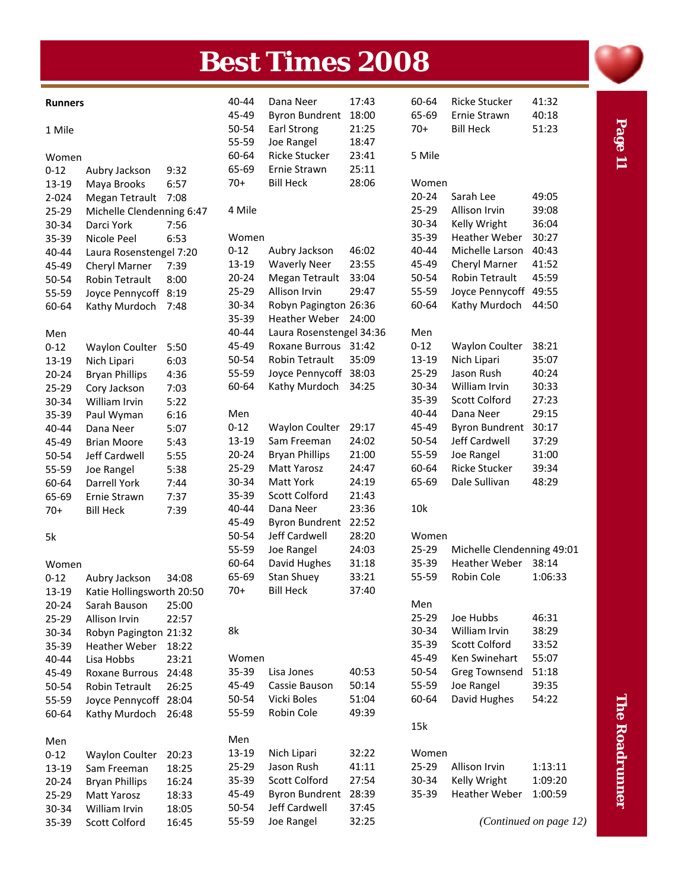# **Best Times 2008**

| <b>Runners</b> |                           |       | 40-44     | Dana Neer                | 17:43 | 60-64     | <b>Ricke Stucker</b>       | 41:32                  |
|----------------|---------------------------|-------|-----------|--------------------------|-------|-----------|----------------------------|------------------------|
|                |                           |       | 45-49     | <b>Byron Bundrent</b>    | 18:00 | 65-69     | Ernie Strawn               | 40:18                  |
| 1 Mile         |                           |       | 50-54     | Earl Strong              | 21:25 | $70+$     | <b>Bill Heck</b>           | 51:23                  |
|                |                           |       | 55-59     | Joe Rangel               | 18:47 |           |                            |                        |
| Women          |                           |       | 60-64     | Ricke Stucker            | 23:41 | 5 Mile    |                            |                        |
| $0 - 12$       | Aubry Jackson             | 9:32  | 65-69     | Ernie Strawn             | 25:11 |           |                            |                        |
| 13-19          | Maya Brooks               | 6:57  | $70+$     | <b>Bill Heck</b>         | 28:06 | Women     |                            |                        |
| 2-024          | Megan Tetrault            | 7:08  |           |                          |       | $20 - 24$ | Sarah Lee                  | 49:05                  |
| 25-29          | Michelle Clendenning 6:47 |       | 4 Mile    |                          |       | $25-29$   | Allison Irvin              | 39:08                  |
| 30-34          | Darci York                | 7:56  |           |                          |       | 30-34     | Kelly Wright               | 36:04                  |
| 35-39          | Nicole Peel               | 6:53  | Women     |                          |       | 35-39     | <b>Heather Weber</b>       | 30:27                  |
| 40-44          | Laura Rosenstengel 7:20   |       | $0 - 12$  | Aubry Jackson            | 46:02 | 40-44     | Michelle Larson            | 40:43                  |
| 45-49          | Cheryl Marner             | 7:39  | 13-19     | <b>Waverly Neer</b>      | 23:55 | 45-49     | Cheryl Marner              | 41:52                  |
| 50-54          | <b>Robin Tetrault</b>     | 8:00  | $20 - 24$ | Megan Tetrault           | 33:04 | 50-54     | Robin Tetrault             | 45:59                  |
| 55-59          | Joyce Pennycoff           | 8:19  | 25-29     | Allison Irvin            | 29:47 | 55-59     | Joyce Pennycoff 49:55      |                        |
| 60-64          | Kathy Murdoch             | 7:48  | 30-34     | Robyn Pagington 26:36    |       | 60-64     | Kathy Murdoch              | 44:50                  |
|                |                           |       | 35-39     | Heather Weber 24:00      |       |           |                            |                        |
| Men            |                           |       | 40-44     | Laura Rosenstengel 34:36 |       | Men       |                            |                        |
| $0 - 12$       | <b>Waylon Coulter</b>     | 5:50  | 45-49     | Roxane Burrous 31:42     |       | $0 - 12$  | <b>Waylon Coulter</b>      | 38:21                  |
| 13-19          | Nich Lipari               | 6:03  | 50-54     | <b>Robin Tetrault</b>    | 35:09 | 13-19     | Nich Lipari                | 35:07                  |
| $20 - 24$      | <b>Bryan Phillips</b>     | 4:36  | 55-59     | Joyce Pennycoff 38:03    |       | 25-29     | Jason Rush                 | 40:24                  |
| 25-29          | Cory Jackson              | 7:03  | 60-64     | Kathy Murdoch            | 34:25 | 30-34     | William Irvin              | 30:33                  |
| 30-34          | William Irvin             | 5:22  |           |                          |       | 35-39     | <b>Scott Colford</b>       | 27:23                  |
| 35-39          | Paul Wyman                | 6:16  | Men       |                          |       | 40-44     | Dana Neer                  | 29:15                  |
| 40-44          | Dana Neer                 | 5:07  | $0 - 12$  | <b>Waylon Coulter</b>    | 29:17 | 45-49     | <b>Byron Bundrent</b>      | 30:17                  |
| 45-49          | <b>Brian Moore</b>        | 5:43  | 13-19     | Sam Freeman              | 24:02 | 50-54     | Jeff Cardwell              | 37:29                  |
| 50-54          | Jeff Cardwell             | 5:55  | $20 - 24$ | <b>Bryan Phillips</b>    | 21:00 | 55-59     | Joe Rangel                 | 31:00                  |
| 55-59          | Joe Rangel                | 5:38  | 25-29     | Matt Yarosz              | 24:47 | 60-64     | <b>Ricke Stucker</b>       | 39:34                  |
| 60-64          | Darrell York              | 7:44  | 30-34     | Matt York                | 24:19 | 65-69     | Dale Sullivan              | 48:29                  |
| 65-69          | Ernie Strawn              | 7:37  | 35-39     | Scott Colford            | 21:43 |           |                            |                        |
| $70+$          | <b>Bill Heck</b>          | 7:39  | 40-44     | Dana Neer                | 23:36 | 10k       |                            |                        |
|                |                           |       | 45-49     | <b>Byron Bundrent</b>    | 22:52 |           |                            |                        |
| 5k             |                           |       | 50-54     | Jeff Cardwell            | 28:20 | Women     |                            |                        |
|                |                           |       | 55-59     | Joe Rangel               | 24:03 | 25-29     | Michelle Clendenning 49:01 |                        |
| Women          |                           |       | 60-64     | David Hughes             | 31:18 | 35-39     | <b>Heather Weber</b>       | 38:14                  |
| $0 - 12$       | Aubry Jackson             | 34:08 | 65-69     | <b>Stan Shuey</b>        | 33:21 | 55-59     | Robin Cole                 | 1:06:33                |
| 13-19          | Katie Hollingsworth 20:50 |       | $70+$     | <b>Bill Heck</b>         | 37:40 |           |                            |                        |
| $20 - 24$      | Sarah Bauson              | 25:00 |           |                          |       | Men       |                            |                        |
| 25-29          | Allison Irvin             | 22:57 |           |                          |       | 25-29     | Joe Hubbs                  | 46:31                  |
| 30-34          | Robyn Pagington 21:32     |       | 8k        |                          |       | 30-34     | William Irvin              | 38:29                  |
| 35-39          | <b>Heather Weber</b>      | 18:22 |           |                          |       | 35-39     | <b>Scott Colford</b>       | 33:52                  |
| 40-44          | Lisa Hobbs                | 23:21 | Women     |                          |       | 45-49     | Ken Swinehart              | 55:07                  |
| 45-49          | Roxane Burrous            | 24:48 | 35-39     | Lisa Jones               | 40:53 | 50-54     | <b>Greg Townsend</b>       | 51:18                  |
| 50-54          | <b>Robin Tetrault</b>     | 26:25 | 45-49     | Cassie Bauson            | 50:14 | 55-59     | Joe Rangel                 | 39:35                  |
| 55-59          | Joyce Pennycoff 28:04     |       | 50-54     | Vicki Boles              | 51:04 | 60-64     | David Hughes               | 54:22                  |
| 60-64          | Kathy Murdoch             | 26:48 | 55-59     | Robin Cole               | 49:39 |           |                            |                        |
|                |                           |       |           |                          |       | 15k       |                            |                        |
| Men            |                           |       | Men       |                          |       |           |                            |                        |
| $0 - 12$       | <b>Waylon Coulter</b>     | 20:23 | 13-19     | Nich Lipari              | 32:22 | Women     |                            |                        |
| 13-19          | Sam Freeman               | 18:25 | 25-29     | Jason Rush               | 41:11 | 25-29     | Allison Irvin              | 1:13:11                |
| $20 - 24$      | <b>Bryan Phillips</b>     | 16:24 | 35-39     | Scott Colford            | 27:54 | 30-34     | Kelly Wright               | 1:09:20                |
| 25-29          | Matt Yarosz               | 18:33 | 45-49     | <b>Byron Bundrent</b>    | 28:39 | 35-39     | <b>Heather Weber</b>       | 1:00:59                |
| 30-34          | William Irvin             | 18:05 | 50-54     | Jeff Cardwell            | 37:45 |           |                            |                        |
| 35-39          | Scott Colford             | 16:45 | 55-59     | Joe Rangel               | 32:25 |           |                            | (Continued on page 12) |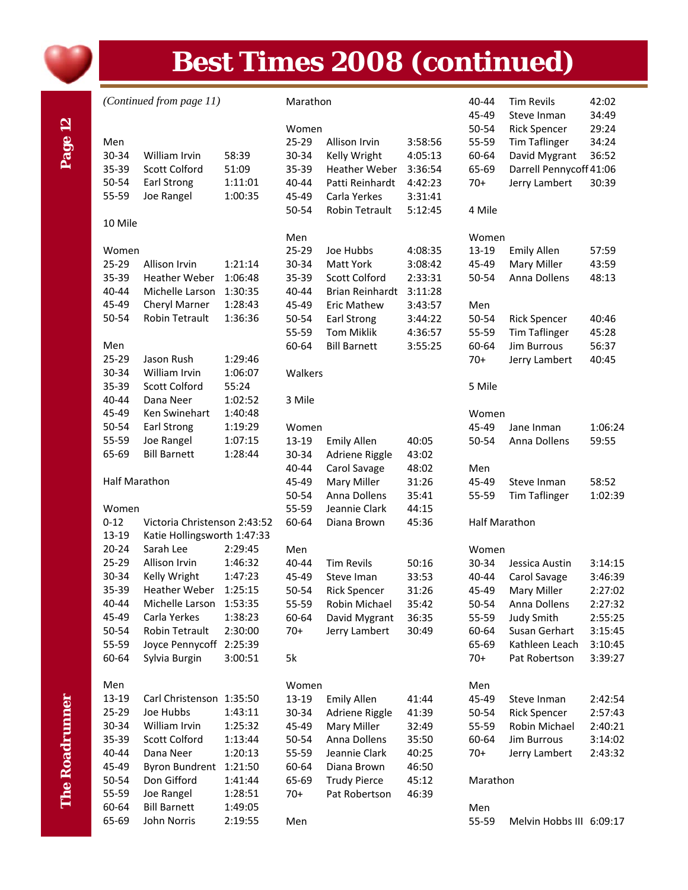

# **Best Times 2008 (continued)**

#### *(Continued from page 11)* Marathon

|                      |                                   |         | Women   |                        |         |
|----------------------|-----------------------------------|---------|---------|------------------------|---------|
| Men                  |                                   |         | 25-29   | Allison Irvin          | 3:58:56 |
| 30-34                | William Irvin                     | 58:39   | 30-34   | Kelly Wright           | 4:05:13 |
| 35-39                | <b>Scott Colford</b>              | 51:09   | 35-39   | <b>Heather Weber</b>   | 3:36:54 |
| 50-54                | Earl Strong                       | 1:11:01 | 40-44   | Patti Reinhardt        | 4:42:23 |
| 55-59                | Joe Rangel                        | 1:00:35 | 45-49   | Carla Yerkes           | 3:31:41 |
|                      |                                   |         | 50-54   | <b>Robin Tetrault</b>  | 5:12:45 |
| 10 Mile              |                                   |         |         |                        |         |
|                      |                                   |         | Men     |                        |         |
| Women                |                                   |         | 25-29   | Joe Hubbs              | 4:08:35 |
| 25-29                | Allison Irvin                     | 1:21:14 | 30-34   | <b>Matt York</b>       | 3:08:42 |
| 35-39                | <b>Heather Weber</b>              | 1:06:48 | 35-39   | <b>Scott Colford</b>   | 2:33:31 |
| 40-44                | Michelle Larson                   | 1:30:35 | 40-44   | <b>Brian Reinhardt</b> | 3:11:28 |
| 45-49                | Cheryl Marner                     | 1:28:43 | 45-49   | <b>Eric Mathew</b>     | 3:43:57 |
| 50-54                | <b>Robin Tetrault</b>             | 1:36:36 | 50-54   | Earl Strong            | 3:44:22 |
|                      |                                   |         | 55-59   | <b>Tom Miklik</b>      | 4:36:57 |
|                      |                                   |         | 60-64   | <b>Bill Barnett</b>    |         |
| Men<br>25-29         | Jason Rush                        | 1:29:46 |         |                        | 3:55:25 |
| 30-34                | William Irvin                     | 1:06:07 | Walkers |                        |         |
|                      |                                   |         |         |                        |         |
| 35-39                | <b>Scott Colford</b>              | 55:24   |         |                        |         |
| 40-44                | Dana Neer<br><b>Ken Swinehart</b> | 1:02:52 | 3 Mile  |                        |         |
| 45-49                |                                   | 1:40:48 |         |                        |         |
| 50-54                | Earl Strong                       | 1:19:29 | Women   |                        |         |
| 55-59                | Joe Rangel                        | 1:07:15 | 13-19   | <b>Emily Allen</b>     | 40:05   |
| 65-69                | <b>Bill Barnett</b>               | 1:28:44 | 30-34   | Adriene Riggle         | 43:02   |
|                      |                                   |         | 40-44   | Carol Savage           | 48:02   |
| <b>Half Marathon</b> |                                   |         | 45-49   | Mary Miller            | 31:26   |
|                      |                                   |         | 50-54   | Anna Dollens           | 35:41   |
| Women                |                                   |         | 55-59   | Jeannie Clark          | 44:15   |
| $0 - 12$             | Victoria Christenson 2:43:52      |         | 60-64   | Diana Brown            | 45:36   |
| 13-19                | Katie Hollingsworth 1:47:33       |         |         |                        |         |
| $20 - 24$            | Sarah Lee                         | 2:29:45 | Men     |                        |         |
| 25-29                | Allison Irvin                     | 1:46:32 | 40-44   | <b>Tim Revils</b>      | 50:16   |
| 30-34                | Kelly Wright                      | 1:47:23 | 45-49   | Steve Iman             | 33:53   |
| 35-39                | <b>Heather Weber</b>              | 1:25:15 | 50-54   | <b>Rick Spencer</b>    | 31:26   |
| 40-44                | Michelle Larson                   | 1:53:35 | 55-59   | Robin Michael          | 35:42   |
| 45-49                | Carla Yerkes                      | 1:38:23 | 60-64   | David Mygrant          | 36:35   |
| 50-54                | Robin Tetrault                    | 2:30:00 | $70+$   | Jerry Lambert          | 30:49   |
| 55-59                | Joyce Pennycoff                   | 2:25:39 |         |                        |         |
| 60-64                | Sylvia Burgin                     | 3:00:51 | 5k      |                        |         |
|                      |                                   |         |         |                        |         |
| Men                  |                                   |         | Women   |                        |         |
| 13-19                | Carl Christenson                  | 1:35:50 | 13-19   | <b>Emily Allen</b>     | 41:44   |
| 25-29                | Joe Hubbs                         | 1:43:11 | 30-34   | Adriene Riggle         | 41:39   |
| 30-34                | William Irvin                     | 1:25:32 | 45-49   | Mary Miller            | 32:49   |
| 35-39                | <b>Scott Colford</b>              | 1:13:44 | 50-54   | Anna Dollens           | 35:50   |
| 40-44                | Dana Neer                         | 1:20:13 | 55-59   | Jeannie Clark          | 40:25   |
| 45-49                | <b>Byron Bundrent</b>             | 1:21:50 | 60-64   | Diana Brown            | 46:50   |
| 50-54                | Don Gifford                       | 1:41:44 | 65-69   | <b>Trudy Pierce</b>    | 45:12   |
| 55-59                | Joe Rangel                        | 1:28:51 | $70+$   | Pat Robertson          | 46:39   |
| 60-64                | <b>Bill Barnett</b>               | 1:49:05 |         |                        |         |
| 65-69                | John Norris                       | 2:19:55 | Men     |                        |         |

|          | 40-44                | <b>Tim Revils</b>        | 42:02   |
|----------|----------------------|--------------------------|---------|
|          | 45-49                | Steve Inman              | 34:49   |
|          | 50-54                | <b>Rick Spencer</b>      | 29:24   |
|          | 55-59                | <b>Tim Taflinger</b>     | 34:24   |
|          | 60-64                | David Mygrant            | 36:52   |
|          | 65-69                | Darrell Pennycoff 41:06  |         |
|          | $70+$                | Jerry Lambert            | 30:39   |
|          | 4 Mile               |                          |         |
|          | Women                |                          |         |
|          | 13-19                | <b>Emily Allen</b>       | 57:59   |
|          | 45-49                | Mary Miller              | 43:59   |
|          | 50-54                | Anna Dollens             | 48:13   |
|          |                      |                          |         |
|          | Men                  |                          |         |
|          | 50-54                | <b>Rick Spencer</b>      | 40:46   |
|          | 55-59                | <b>Tim Taflinger</b>     | 45:28   |
|          | 60-64                | <b>Jim Burrous</b>       | 56:37   |
|          | $70+$                | Jerry Lambert            | 40:45   |
|          | 5 Mile               |                          |         |
|          | Women                |                          |         |
|          | 45-49                | Jane Inman               | 1:06:24 |
|          | 50-54                | Anna Dollens             | 59:55   |
|          | Men                  |                          |         |
|          | 45-49                | Steve Inman              | 58:52   |
|          | 55-59                | <b>Tim Taflinger</b>     | 1:02:39 |
|          | <b>Half Marathon</b> |                          |         |
| Women    |                      |                          |         |
|          | 30-34                | Jessica Austin           | 3:14:15 |
|          | 40-44                | Carol Savage             | 3:46:39 |
|          | 45-49                | Mary Miller              | 2:27:02 |
|          | 50-54                | Anna Dollens             | 2:27:32 |
|          | 55-59                | <b>Judy Smith</b>        | 2:55:25 |
|          | 60-64                | Susan Gerhart            | 3:15:45 |
|          | 65-69                | Kathleen Leach           | 3:10:45 |
|          | 70+                  | Pat Robertson            | 3:39:27 |
|          | Men                  |                          |         |
|          | 45-49                | Steve Inman              | 2:42:54 |
|          | 50-54                | <b>Rick Spencer</b>      | 2:57:43 |
|          | 55-59                | Robin Michael            | 2:40:21 |
|          | 60-64                | Jim Burrous              | 3:14:02 |
|          | 70+                  | Jerry Lambert            | 2:43:32 |
| Marathon |                      |                          |         |
|          |                      |                          |         |
|          | Men<br>55-59         | Melvin Hobbs III 6:09:17 |         |
|          |                      |                          |         |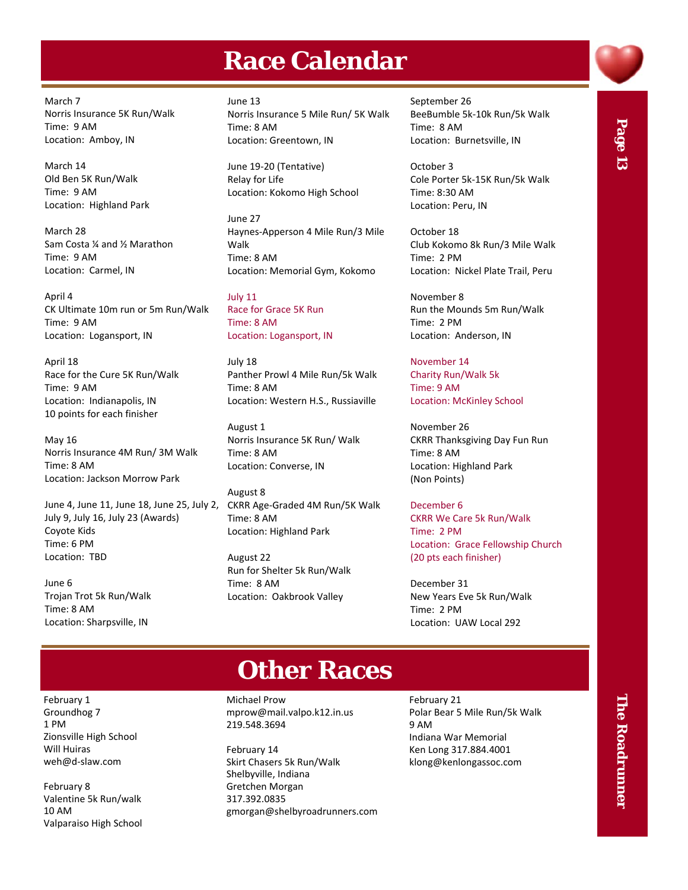#### **Race Calendar**

March 7 Norris Insurance 5K Run/Walk Time: 9 AM Location: Amboy, IN

March 14 Old Ben 5K Run/Walk Time: 9 AM Location: Highland Park

March 28 Sam Costa ¼ and ½ Marathon Time: 9 AM Location: Carmel, IN

April 4 CK Ultimate 10m run or 5m Run/Walk Time: 9 AM Location: Logansport, IN

April 18 Race for the Cure 5K Run/Walk Time: 9 AM Location: Indianapolis, IN 10 points for each finisher

May 16 Norris Insurance 4M Run/ 3M Walk Time: 8 AM Location: Jackson Morrow Park

June 4, June 11, June 18, June 25, July 2, July 9, July 16, July 23 (Awards) Coyote Kids Time: 6 PM Location: TBD

June 6 Trojan Trot 5k Run/Walk Time: 8 AM Location: Sharpsville, IN

June 13 Norris Insurance 5 Mile Run/ 5K Walk Time: 8 AM Location: Greentown, IN

June 19‐20 (Tentative) Relay for Life Location: Kokomo High School

June 27 Haynes‐Apperson 4 Mile Run/3 Mile Walk Time: 8 AM Location: Memorial Gym, Kokomo

July 11 Race for Grace 5K Run Time: 8 AM Location: Logansport, IN

July 18 Panther Prowl 4 Mile Run/5k Walk Time: 8 AM Location: Western H.S., Russiaville

August 1 Norris Insurance 5K Run/ Walk Time: 8 AM Location: Converse, IN

August 8 CKRR Age‐Graded 4M Run/5K Walk Time: 8 AM Location: Highland Park

August 22 Run for Shelter 5k Run/Walk Time: 8 AM Location: Oakbrook Valley

September 26 BeeBumble 5k‐10k Run/5k Walk Time: 8 AM Location: Burnetsville, IN

October 3 Cole Porter 5k‐15K Run/5k Walk Time: 8:30 AM Location: Peru, IN

October 18 Club Kokomo 8k Run/3 Mile Walk Time: 2 PM Location: Nickel Plate Trail, Peru

November 8 Run the Mounds 5m Run/Walk Time: 2 PM Location: Anderson, IN

November 14 Charity Run/Walk 5k Time: 9 AM Location: McKinley School

November 26 CKRR Thanksgiving Day Fun Run Time: 8 AM Location: Highland Park (Non Points)

December 6 CKRR We Care 5k Run/Walk Time: 2 PM Location: Grace Fellowship Church (20 pts each finisher)

December 31 New Years Eve 5k Run/Walk Time: 2 PM Location: UAW Local 292

## **Other Races**

Michael Prow mprow@mail.valpo.k12.in.us 219.548.3694

February 14 Skirt Chasers 5k Run/Walk Shelbyville, Indiana Gretchen Morgan 317.392.0835 gmorgan@shelbyroadrunners.com February 21 Polar Bear 5 Mile Run/5k Walk 9 AM Indiana War Memorial Ken Long 317.884.4001 klong@kenlongassoc.com

# Page 13

February 1 Groundhog 7 1 PM Zionsville High School Will Huiras weh@d‐slaw.com

February 8 Valentine 5k Run/walk 10 AM Valparaiso High School